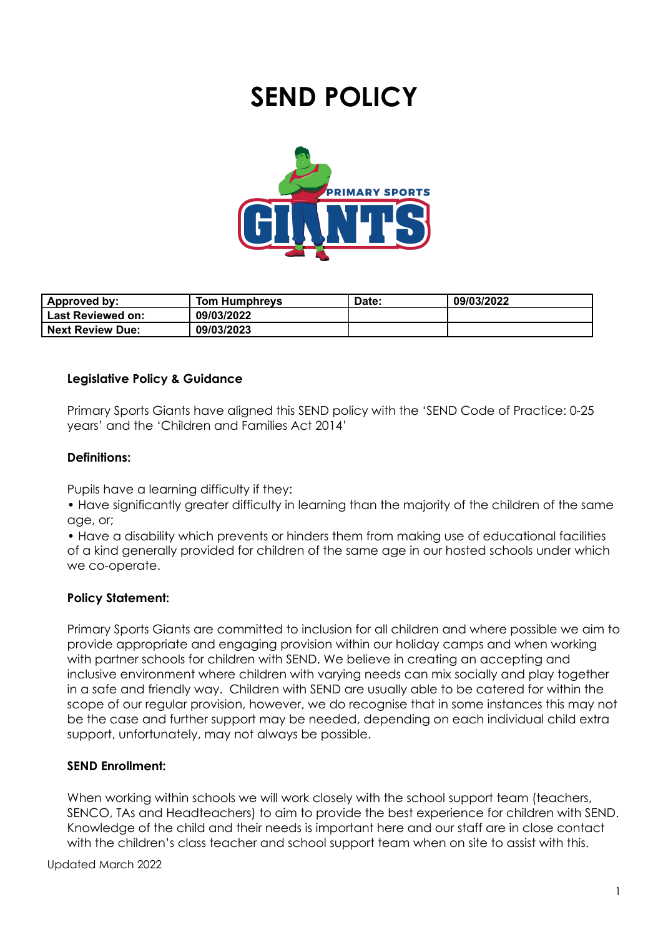# **SEND POLICY**



| Approved by:            | Tom Humphreys | Date: | 09/03/2022 |
|-------------------------|---------------|-------|------------|
| l Last Reviewed on:     | 09/03/2022    |       |            |
| <b>Next Review Due:</b> | 09/03/2023    |       |            |

#### **Legislative Policy & Guidance**

Primary Sports Giants have aligned this SEND policy with the 'SEND Code of Practice: 0-25 years' and the 'Children and Families Act 2014'

## **Definitions:**

Pupils have a learning difficulty if they:

• Have significantly greater difficulty in learning than the majority of the children of the same age, or;

• Have a disability which prevents or hinders them from making use of educational facilities of a kind generally provided for children of the same age in our hosted schools under which we co-operate.

#### **Policy Statement:**

Primary Sports Giants are committed to inclusion for all children and where possible we aim to provide appropriate and engaging provision within our holiday camps and when working with partner schools for children with SEND. We believe in creating an accepting and inclusive environment where children with varying needs can mix socially and play together in a safe and friendly way. Children with SEND are usually able to be catered for within the scope of our regular provision, however, we do recognise that in some instances this may not be the case and further support may be needed, depending on each individual child extra support, unfortunately, may not always be possible.

#### **SEND Enrollment:**

When working within schools we will work closely with the school support team (teachers, SENCO, TAs and Headteachers) to aim to provide the best experience for children with SEND. Knowledge of the child and their needs is important here and our staff are in close contact with the children's class teacher and school support team when on site to assist with this.

Updated March 2022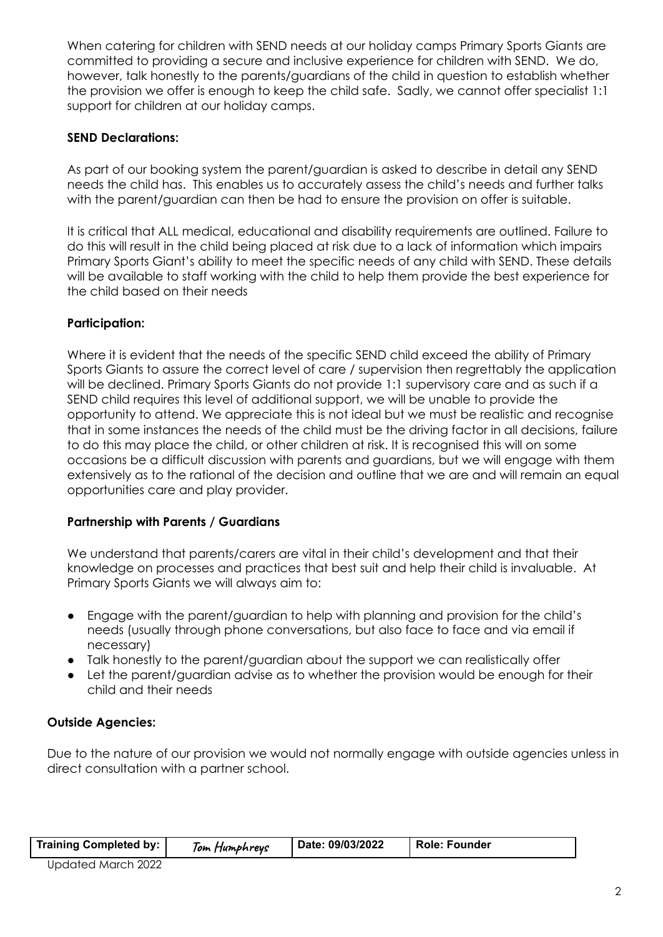When catering for children with SEND needs at our holiday camps Primary Sports Giants are committed to providing a secure and inclusive experience for children with SEND. We do, however, talk honestly to the parents/guardians of the child in question to establish whether the provision we offer is enough to keep the child safe. Sadly, we cannot offer specialist 1:1 support for children at our holiday camps.

## **SEND Declarations:**

As part of our booking system the parent/guardian is asked to describe in detail any SEND needs the child has. This enables us to accurately assess the child's needs and further talks with the parent/guardian can then be had to ensure the provision on offer is suitable.

It is critical that ALL medical, educational and disability requirements are outlined. Failure to do this will result in the child being placed at risk due to a lack of information which impairs Primary Sports Giant's ability to meet the specific needs of any child with SEND. These details will be available to staff working with the child to help them provide the best experience for the child based on their needs

## **Participation:**

Where it is evident that the needs of the specific SEND child exceed the ability of Primary Sports Giants to assure the correct level of care / supervision then regrettably the application will be declined. Primary Sports Giants do not provide 1:1 supervisory care and as such if a SEND child requires this level of additional support, we will be unable to provide the opportunity to attend. We appreciate this is not ideal but we must be realistic and recognise that in some instances the needs of the child must be the driving factor in all decisions, failure to do this may place the child, or other children at risk. It is recognised this will on some occasions be a difficult discussion with parents and guardians, but we will engage with them extensively as to the rational of the decision and outline that we are and will remain an equal opportunities care and play provider.

#### **Partnership with Parents / Guardians**

We understand that parents/carers are vital in their child's development and that their knowledge on processes and practices that best suit and help their child is invaluable. At Primary Sports Giants we will always aim to:

- Engage with the parent/guardian to help with planning and provision for the child's needs (usually through phone conversations, but also face to face and via email if necessary)
- Talk honestly to the parent/guardian about the support we can realistically offer
- Let the parent/guardian advise as to whether the provision would be enough for their child and their needs

## **Outside Agencies:**

Due to the nature of our provision we would not normally engage with outside agencies unless in direct consultation with a partner school.

| Training Completed by:              | Tom Humphreys | Date: 09/03/2022 | Role: Founder |
|-------------------------------------|---------------|------------------|---------------|
| $\cdots$ $\cdots$ $\cdots$ $\cdots$ |               |                  |               |